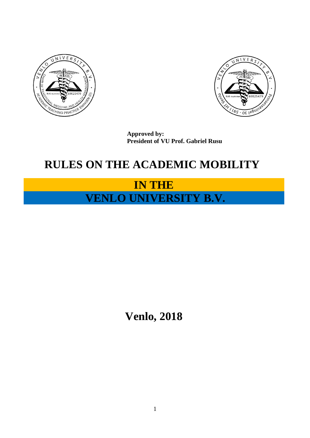



**Approved by: President of VU Prof. Gabriel Rusu**

### **RULES ON THE ACADEMIC MOBILITY**

## **IN THE VENLO UNIVERSITY B.V.**

# **Venlo, 2018**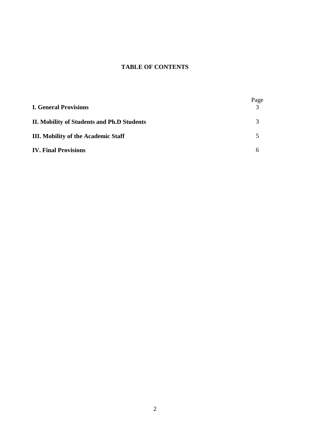### **TABLE OF CONTENTS**

| <b>I. General Provisions</b>               | Page |
|--------------------------------------------|------|
| II. Mobility of Students and Ph.D Students |      |
| <b>III. Mobility of the Academic Staff</b> |      |
| <b>IV. Final Provisions</b>                |      |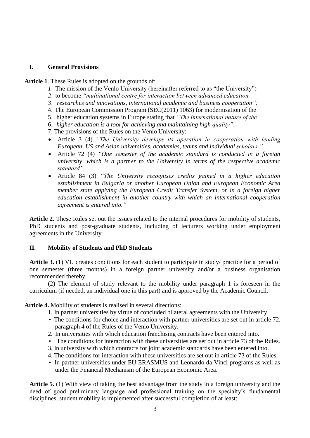#### **I. General Provisions**

**Article 1**. These Rules is adopted on the grounds of:

- *1.* The mission of the Venlo University (hereinafter referred to as "the University")
- *2.* to become *"multinational centre for interaction between advanced education,*
- *3. researches and innovations, international academic and business cooperation";*
- 4. The European Commission Program (SEC(2011) 1063) for modernisation of the
- 5. higher education systems in Europe stating that *"The international nature of the*
- 6. *higher education is a tool for achieving and maintaining high quality"*;
- 7. The provisions of the Rules on the Venlo University:
- Article 3 (4) *"The University develops its operation in cooperation with leading European, US and Asian universities, academies, teams and individual scholars."*
- Article 72 (4) *"One semester of the academic standard is conducted in a foreign university, which is a partner to the University in terms of the respective academic standard"*
- Article 84 (3) *"The University recognises credits gained in a higher education establishment in Bulgaria or another European Union and European Economic Area member state applying the European Credit Transfer System, or in a foreign higher education establishment in another country with which an international cooperation agreement is entered into."*

**Article 2.** These Rules set out the issues related to the internal procedures for mobility of students, PhD students and post-graduate students, including of lecturers working under employment agreements in the University.

#### **II. Mobility of Students and PhD Students**

**Article 3.** (1) VU creates conditions for each student to participate in study/ practice for a period of one semester (three months) in a foreign partner university and/or a business organisation recommended thereby.

(2) The element of study relevant to the mobility under paragraph 1 is foreseen in the curriculum (if needed, an individual one in this part) and is approved by the Academic Council.

**Article 4.** Mobility of students is realised in several directions:

- 1. In partner universities by virtue of concluded bilateral agreements with the University.
- The conditions for choice and interaction with partner universities are set out in article 72, paragraph 4 of the Rules of the Venlo University.
- 2. In universities with which education franchising contracts have been entered into.
- The conditions for interaction with these universities are set out in article 73 of the Rules.
- 3. In university with which contracts for joint academic standards have been entered into.
- 4. The conditions for interaction with these universities are set out in article 73 of the Rules.
- In partner universities under EU ERASMUS and Leonardo da Vinci programs as well as under the Financial Mechanism of the European Economic Area.

**Article 5.** (1) With view of taking the best advantage from the study in a foreign university and the need of good preliminary language and professional training on the specialty's fundamental disciplines, student mobility is implemented after successful completion of at least: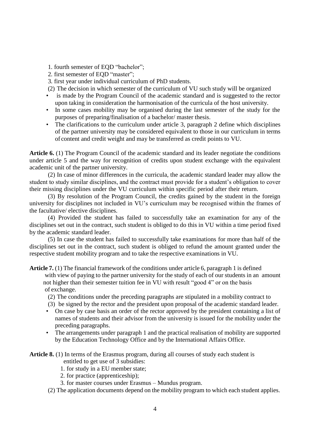- 1. fourth semester of EQD "bachelor";
- 2. first semester of EQD "master";
- 3. first year under individual curriculum of PhD students.

(2) The decision in which semester of the curriculum of VU such study will be organized

- is made by the Program Council of the academic standard and is suggested to the rector upon taking in consideration the harmonisation of the curricula of the host university.
- In some cases mobility may be organised during the last semester of the study for the purposes of preparing/finalisation of a bachelor/ master thesis.
- The clarifications to the curriculum under article 3, paragraph 2 define which disciplines of the partner university may be considered equivalent to those in our curriculum in terms of content and credit weight and may be transferred as credit points to VU.

**Article 6.** (1) The Program Council of the academic standard and its leader negotiate the conditions under article 5 and the way for recognition of credits upon student exchange with the equivalent academic unit of the partner university.

(2) In case of minor differences in the curricula, the academic standard leader may allow the student to study similar disciplines, and the contract must provide for a student's obligation to cover their missing disciplines under the VU curriculum within specific period after their return.

(3) By resolution of the Program Council, the credits gained by the student in the foreign university for disciplines not included in VU's curriculum may be recognised within the frames of the facultative/ elective disciplines.

(4) Provided the student has failed to successfully take an examination for any of the disciplines set out in the contract, such student is obliged to do this in VU within a time period fixed by the academic standard leader.

(5) In case the student has failed to successfully take examinations for more than half of the disciplines set out in the contract, such student is obliged to refund the amount granted under the respective student mobility program and to take the respective examinations in VU.

**Article 7.** (1) The financial framework of the conditions under article 6, paragraph 1 is defined

with view of paying to the partner university for the study of each of our students in an amount not higher than their semester tuition fee in VU with result "good 4" or on the basis of exchange.

- (2) The conditions under the preceding paragraphs are stipulated in a mobility contract to
- (3) be signed by the rector and the president upon proposal of the academic standard leader.
- On case by case basis an order of the rector approved by the president containing a list of names of students and their advisor from the university is issued for the mobility under the preceding paragraphs.
- The arrangements under paragraph 1 and the practical realisation of mobility are supported by the Education Technology Office and by the International Affairs Office.

Article 8. (1) In terms of the Erasmus program, during all courses of study each student is

entitled to get use of 3 subsidies:

- 1. for study in a EU member state;
- 2. for practice (apprenticeship);
- 3. for master courses under Erasmus Mundus program.
- (2) The application documents depend on the mobility program to which each student applies.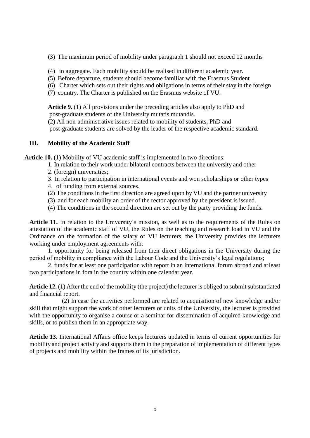- (3) The maximum period of mobility under paragraph 1 should not exceed 12 months
- (4) in aggregate. Each mobility should be realised in different academic year.
- (5) Before departure, students should become familiar with the Erasmus Student
- (6) Charter which sets out their rights and obligations in terms of their stay in the foreign
- (7) country. The Charter is published on the Erasmus website of VU.

**Article 9.** (1) All provisions under the preceding articles also apply to PhD and post-graduate students of the University mutatis mutandis.

(2) All non-administrative issues related to mobility of students, PhD and

post-graduate students are solved by the leader of the respective academic standard.

#### **III. Mobility of the Academic Staff**

**Article 10.** (1) Mobility of VU academic staff is implemented in two directions:

- 1. In relation to their work under bilateral contracts between the university and other
- 2. (foreign) universities;
- 3. In relation to participation in international events and won scholarships or other types
- 4. of funding from external sources.
- (2) The conditions in the first direction are agreed upon by VU and the partner university
- (3) and for each mobility an order of the rector approved by the president is issued.
- (4) The conditions in the second direction are set out by the party providing the funds.

**Article 11.** In relation to the University's mission, as well as to the requirements of the Rules on attestation of the academic staff of VU, the Rules on the teaching and research load in VU and the Ordinance on the formation of the salary of VU lecturers, the University provides the lecturers working under employment agreements with:

1. opportunity for being released from their direct obligations in the University during the period of mobility in compliance with the Labour Code and the University's legal regulations;

2. funds for at least one participation with report in an international forum abroad and atleast two participations in fora in the country within one calendar year.

**Article 12.** (1) After the end of the mobility (the project) the lecturer is obliged to submit substantiated and financial report.

 (2) In case the activities performed are related to acquisition of new knowledge and/or skill that might support the work of other lecturers or units of the University, the lecturer is provided with the opportunity to organise a course or a seminar for dissemination of acquired knowledge and skills, or to publish them in an appropriate way.

**Article 13.** International Affairs office keeps lecturers updated in terms of current opportunities for mobility and project activity and supports them in the preparation of implementation of different types of projects and mobility within the frames of its jurisdiction.